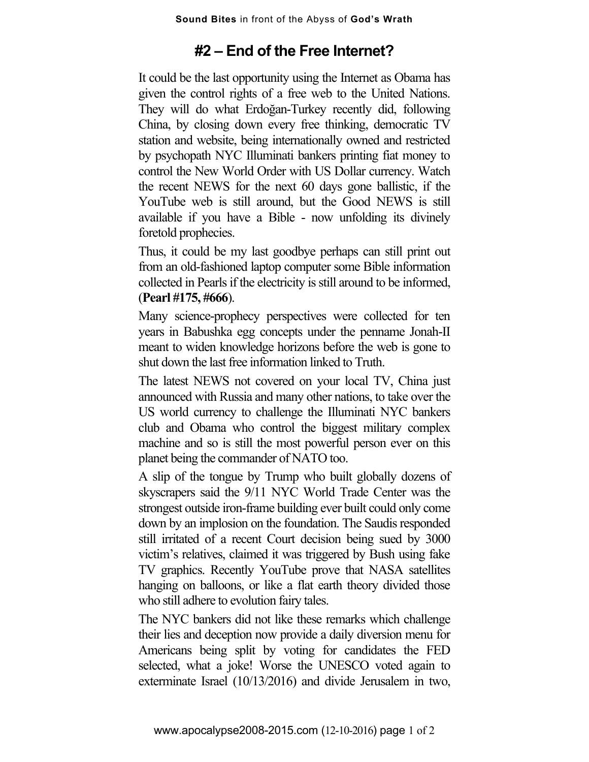## **#2 – End of the Free Internet?**

It could be the last opportunity using the Internet as Obama has given the control rights of a free web to the United Nations. They will do what Erdoğan-Turkey recently did, following China, by closing down every free thinking, democratic TV station and website, being internationally owned and restricted by psychopath NYC Illuminati bankers printing fiat money to control the New World Order with US Dollar currency. Watch the recent NEWS for the next 60 days gone ballistic, if the YouTube web is still around, but the Good NEWS is still available if you have a Bible - now unfolding its divinely foretold prophecies.

Thus, it could be my last goodbye perhaps can still print out from an old-fashioned laptop computer some Bible information collected in Pearls if the electricity is still around to be informed, (**Pearl #175, #666**).

Many science-prophecy perspectives were collected for ten years in Babushka egg concepts under the penname Jonah-II meant to widen knowledge horizons before the web is gone to shut down the last free information linked to Truth.

The latest NEWS not covered on your local TV, China just announced with Russia and many other nations, to take over the US world currency to challenge the Illuminati NYC bankers club and Obama who control the biggest military complex machine and so is still the most powerful person ever on this planet being the commander of NATO too.

A slip of the tongue by Trump who built globally dozens of skyscrapers said the 9/11 NYC World Trade Center was the strongest outside iron-frame building ever built could only come down by an implosion on the foundation. The Saudis responded still irritated of a recent Court decision being sued by 3000 victim's relatives, claimed it was triggered by Bush using fake TV graphics. Recently YouTube prove that NASA satellites hanging on balloons, or like a flat earth theory divided those who still adhere to evolution fairy tales.

The NYC bankers did not like these remarks which challenge their lies and deception now provide a daily diversion menu for Americans being split by voting for candidates the FED selected, what a joke! Worse the UNESCO voted again to exterminate Israel (10/13/2016) and divide Jerusalem in two,